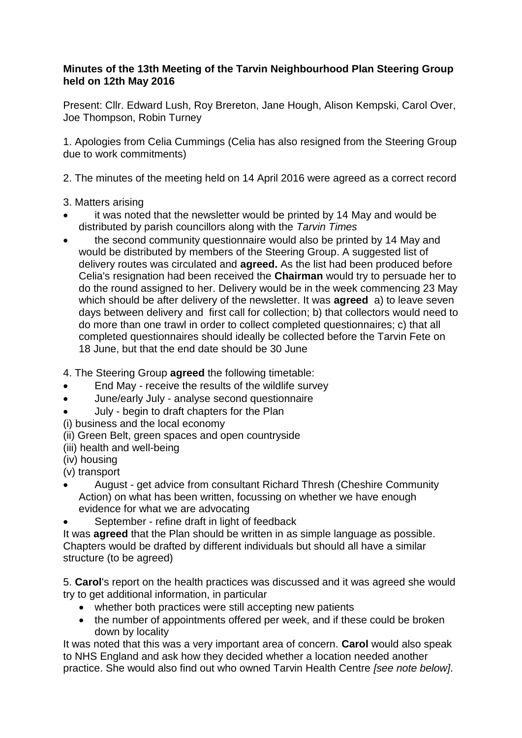## **Minutes of the 13th Meeting of the Tarvin Neighbourhood Plan Steering Group held on 12th May 2016**

Present: Cllr. Edward Lush, Roy Brereton, Jane Hough, Alison Kempski, Carol Over, Joe Thompson, Robin Turney

1. Apologies from Celia Cummings (Celia has also resigned from the Steering Group due to work commitments)

2. The minutes of the meeting held on 14 April 2016 were agreed as a correct record

- 3. Matters arising
- it was noted that the newsletter would be printed by 14 May and would be distributed by parish councillors along with the *Tarvin Times*
- the second community questionnaire would also be printed by 14 May and would be distributed by members of the Steering Group. A suggested list of delivery routes was circulated and **agreed.** As the list had been produced before Celia's resignation had been received the **Chairman** would try to persuade her to do the round assigned to her. Delivery would be in the week commencing 23 May which should be after delivery of the newsletter. It was **agreed** a) to leave seven days between delivery and first call for collection; b) that collectors would need to do more than one trawl in order to collect completed questionnaires; c) that all completed questionnaires should ideally be collected before the Tarvin Fete on 18 June, but that the end date should be 30 June
- 4. The Steering Group **agreed** the following timetable:
- End May receive the results of the wildlife survey
- June/early July analyse second questionnaire
- July begin to draft chapters for the Plan
- (i) business and the local economy
- (ii) Green Belt, green spaces and open countryside
- (iii) health and well-being
- (iv) housing
- (v) transport
- August get advice from consultant Richard Thresh (Cheshire Community Action) on what has been written, focussing on whether we have enough evidence for what we are advocating
- September refine draft in light of feedback
- It was **agreed** that the Plan should be written in as simple language as possible. Chapters would be drafted by different individuals but should all have a similar structure (to be agreed)

5. **Carol**'s report on the health practices was discussed and it was agreed she would try to get additional information, in particular

- whether both practices were still accepting new patients
- the number of appointments offered per week, and if these could be broken down by locality

It was noted that this was a very important area of concern. **Carol** would also speak to NHS England and ask how they decided whether a location needed another practice. She would also find out who owned Tarvin Health Centre *[see note below]*.